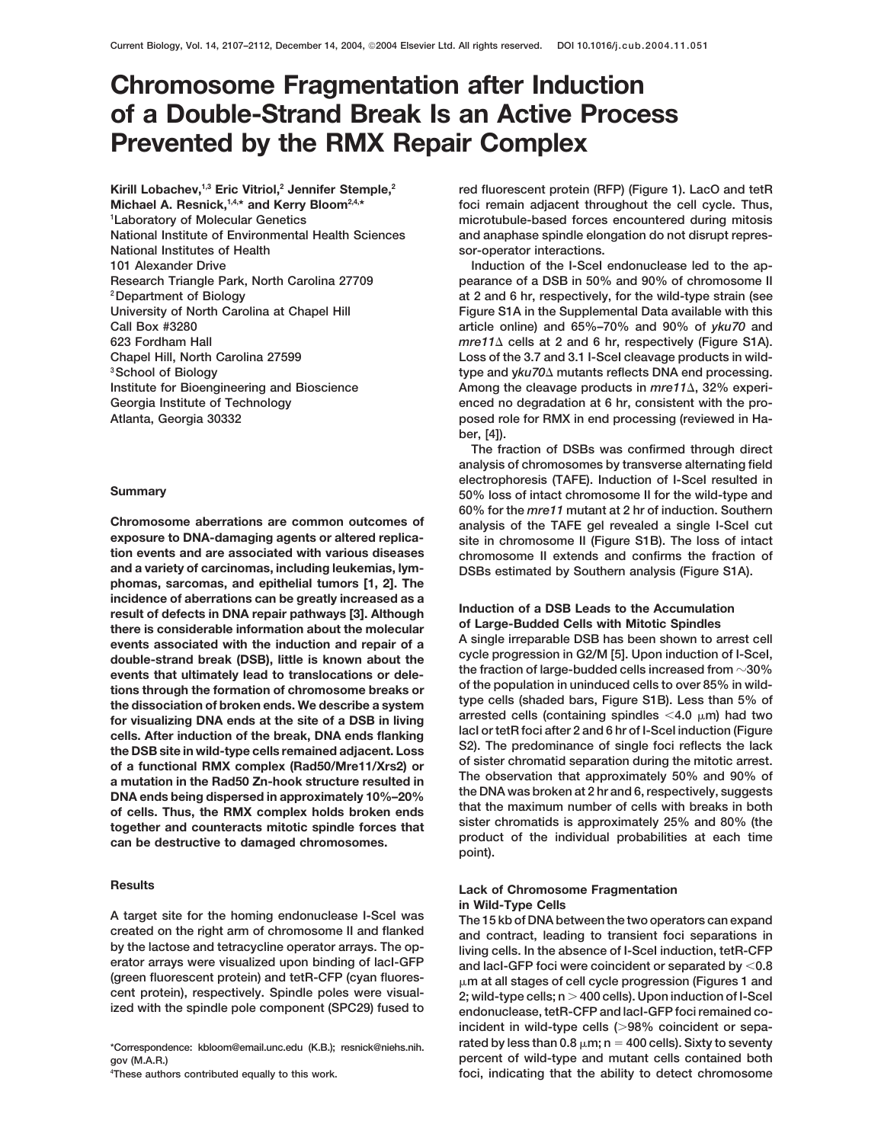## **Chromosome Fragmentation after Induction of a Double-Strand Break Is an Active Process Prevented by the RMX Repair Complex**

**Kirill Lobachev,1,3 Eric Vitriol,2 Jennifer Stemple,2** Michael A. Resnick,<sup>1,4,\*</sup> and Kerry Bloom<sup>2,4,\*</sup> **1 Laboratory of Molecular Genetics National Institute of Environmental Health Sciences National Institutes of Health 101 Alexander Drive Induction of the I-Scel endonuclease led to the ap-**

**exposure to DNA-damaging agents or altered replica- site in chromosome II (Figure S1B). The loss of intact tion events and are associated with various diseases chromosome II extends and confirms the fraction of phomas, sarcomas, and epithelial tumors [1, 2]. The** incidence of aberrations can be greatly increased as a<br>result of defects in DNA repair pathways [3]. Although<br>there is considerable information about the molecular<br>ovents associated with the induction and repair of a<br>A sin **events that ultimately lead to translocations or dele- the fraction of large-budded cells increased from 30%** For visualizing DNA ends at the site of a DSB in living<br>
rested cells (containing spindles <4.0  $\mu$ m) had two<br>
cells. After induction of the break, DNA ends flanking<br>
the DSB site in wild-type cells remained adjacent. Lo

A target site for the homing endonuclease I-Scel was<br>
created on the right arm of chromosome II and flanked<br>
by the lactose and tetracycline operator arrays. The op-<br>
erator arrays were visualized upon binding of lacI-GFP

<sup>4</sup>These authors contributed equally to this work.

**red fluorescent protein (RFP) (Figure 1). LacO and tetR foci remain adjacent throughout the cell cycle. Thus, microtubule-based forces encountered during mitosis and anaphase spindle elongation do not disrupt repressor-operator interactions.**

**Research Triangle Park, North Carolina 27709 pearance of a DSB in 50% and 90% of chromosome II 2Department of Biology at 2 and 6 hr, respectively, for the wild-type strain (see University of North Carolina at Chapel Hill Figure S1A in the Supplemental Data available with this Call Box #3280 article online) and 65%–70% and 90% of** *yku70* **and 623 Fordham Hall** *mre11* **cells at 2 and 6 hr, respectively (Figure S1A). Chapel Hill, North Carolina 27599 Loss of the 3.7 and 3.1 I-SceI cleavage products in wildtype and y***ku70* **mutants reflects DNA end processing. 3School of Biology** Institute for Bioengineering and Bioscience **Among the cleavage products in**  $m$ re11 $\triangle$ , 32% experi-**Georgia Institute of Technology enced no degradation at 6 hr, consistent with the pro-Atlanta, Georgia 30332 posed role for RMX in end processing (reviewed in Haber, [4]).**

**The fraction of DSBs was confirmed through direct analysis of chromosomes by transverse alternating field electrophoresis (TAFE). Induction of I-SceI resulted in Summary 50% loss of intact chromosome II for the wild-type and 60% for the** *mre11* **mutant at 2 hr of induction. Southern Chromosome aberrations are common outcomes of** analysis of the TAFE gel revealed a single I-SceI cut exposure to DNA-damaging agents or altered replica-<br>exposure to DNA-damaging agents or altered replica-<br>exposure in chro **DSBs estimated by Southern analysis (Figure S1A).** 

events associated with the induction and repair of a<br>double-strand break (DSB), little is known about the  $\frac{cycle}{2}$  progression in G2/M [5]. Upon induction of I-Scel,<br>ovents that ultimately lead to translocations or dele tions through the formation of chromosome breaks or the population in uninquiced cells to over 85% in wild-<br>the dissociation of broken ends. We describe a system type cells (shaded bars, Figure S1B). Less than 5% of<br>for v DNA ends being dispersed in approximately 10%-20% the DNA was broken at 2 hr and 6, respectively, suggests<br>of cells. Thus, the RMX complex holds broken ends<br>together and counteracts mitotic spindle forces that<br>can be destr

# **Results Lack of Chromosome Fragmentation**

and lacl-GFP foci were coincident or separated by <0.8 (green fluorescent protein) and tetR-CFP (cyan fluores-<br>cent protein), respectively. Spindle poles were visual-<br>ized with the spindle pole component (SPC29) fused to<br>endonuclease, tetR-CFP and lacl-GFP foci remained co-<br>e **incident in wild-type cells (98% coincident or separated by less than 0.8 m; n 400 cells). Sixty to seventy \*Correspondence: kbloom@email.unc.edu (K.B.); resnick@niehs.nih. gov (M.A.R.) percent of wild-type and mutant cells contained both** foci, indicating that the ability to detect chromosome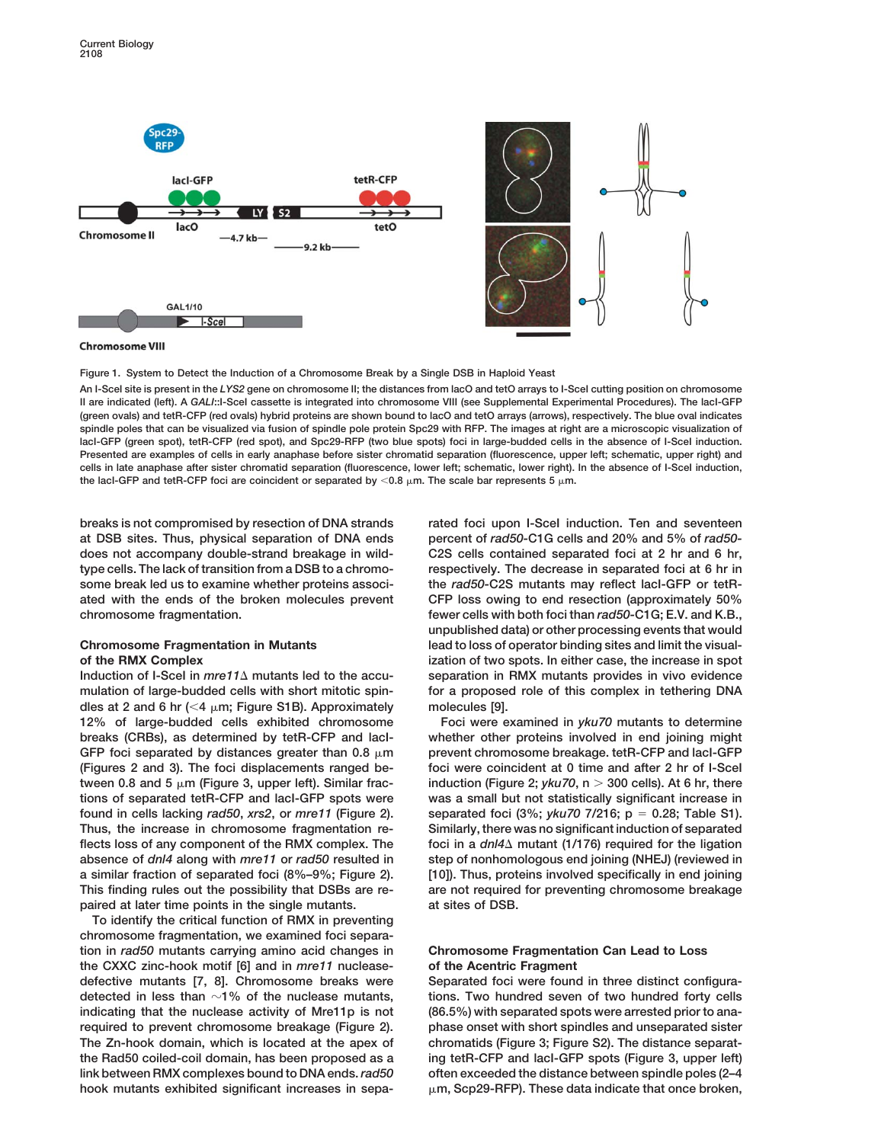

**Chromosome VIII** 

**Figure 1. System to Detect the Induction of a Chromosome Break by a Single DSB in Haploid Yeast**

**An I-SceI site is present in the** *LYS2* **gene on chromosome II; the distances from lacO and tetO arrays to I-SceI cutting position on chromosome II are indicated (left). A** *GALI***::I-SceI cassette is integrated into chromosome VIII (see Supplemental Experimental Procedures). The lacI-GFP (green ovals) and tetR-CFP (red ovals) hybrid proteins are shown bound to lacO and tetO arrays (arrows), respectively. The blue oval indicates spindle poles that can be visualized via fusion of spindle pole protein Spc29 with RFP. The images at right are a microscopic visualization of** lacI-GFP (green spot), tetR-CFP (red spot), and Spc29-RFP (two blue spots) foci in large-budded cells in the absence of I-SceI induction. **Presented are examples of cells in early anaphase before sister chromatid separation (fluorescence, upper left; schematic, upper right) and cells in late anaphase after sister chromatid separation (fluorescence, lower left; schematic, lower right). In the absence of I-SceI induction,** the lacI-GFP and tetR-CFP foci are coincident or separated by  $<$  0.8  $\upmu$ m. The scale bar represents 5  $\upmu$ m.

**breaks is not compromised by resection of DNA strands** rated foci upon I-SceI induction. Ten and seventeen **at DSB sites. Thus, physical separation of DNA ends percent of** *rad50-***C1G cells and 20% and 5% of** *rad50* **does not accompany double-strand breakage in wild- C2S cells contained separated foci at 2 hr and 6 hr, type cells. The lack of transition from a DSB to a chromo- respectively. The decrease in separated foci at 6 hr in some break led us to examine whether proteins associ- the** *rad50-***C2S mutants may reflect lacI-GFP or tetRated with the ends of the broken molecules prevent CFP loss owing to end resection (approximately 50% chromosome fragmentation. fewer cells with both foci than** *rad50-***C1G; E.V. and K.B.,**

**mulation of large-budded cells with short mitotic spin- for a proposed role of this complex in tethering DNA dles at 2 and 6 hr (**-**4 m; Figure S1B). Approximately molecules [9]. 12% of large-budded cells exhibited chromosome Foci were examined in** *yku70* **mutants to determine breaks (CRBs), as determined by tetR-CFP and lacI- whether other proteins involved in end joining might GFP foci separated by distances greater than 0.8 m prevent chromosome breakage. tetR-CFP and lacI-GFP (Figures 2 and 3). The foci displacements ranged be- foci were coincident at 0 time and after 2 hr of I-SceI tween 0.8 and 5 m (Figure 3, upper left). Similar frac- induction (Figure 2;** *yku70***, n 300 cells). At 6 hr, there tions of separated tetR-CFP and lacI-GFP spots were was a small but not statistically significant increase in found in cells lacking** *rad50***,** *xrs2***, or** *mre11* **(Figure 2). separated foci (3%;** *yku70* **7/216; p 0.28; Table S1). Thus, the increase in chromosome fragmentation re- Similarly, there was no significant induction of separated** flects loss of any component of the RMX complex. The foci in a  $dn/4\Delta$  mutant (1/176) required for the ligation **absence of** *dnl4* **along with** *mre11* **or** *rad50* **resulted in step of nonhomologous end joining (NHEJ) (reviewed in a similar fraction of separated foci (8%–9%; Figure 2). [10]). Thus, proteins involved specifically in end joining This finding rules out the possibility that DSBs are re- are not required for preventing chromosome breakage paired at later time points in the single mutants. at sites of DSB.**

**To identify the critical function of RMX in preventing chromosome fragmentation, we examined foci separation in** *rad50* **mutants carrying amino acid changes in Chromosome Fragmentation Can Lead to Loss the CXXC zinc-hook motif [6] and in** *mre11* **nuclease- of the Acentric Fragment defective mutants [7, 8]. Chromosome breaks were Separated foci were found in three distinct configuradetected in less than 1% of the nuclease mutants, tions. Two hundred seven of two hundred forty cells indicating that the nuclease activity of Mre11p is not (86.5%) with separated spots were arrested prior to anarequired to prevent chromosome breakage (Figure 2). phase onset with short spindles and unseparated sister The Zn-hook domain, which is located at the apex of chromatids (Figure 3; Figure S2). The distance separatthe Rad50 coiled-coil domain, has been proposed as a ing tetR-CFP and lacI-GFP spots (Figure 3, upper left) link between RMX complexes bound to DNA ends.***rad50* **often exceeded the distance between spindle poles (2–4 hook mutants exhibited significant increases in sepa- m, Scp29-RFP). These data indicate that once broken,**

**unpublished data) or other processing events that would Chromosome Fragmentation in Mutants lead to loss of operator binding sites and limit the visualof the RMX Complex ization of two spots. In either case, the increase in spot Induction of I-SceI in** *mre11* **mutants led to the accu- separation in RMX mutants provides in vivo evidence**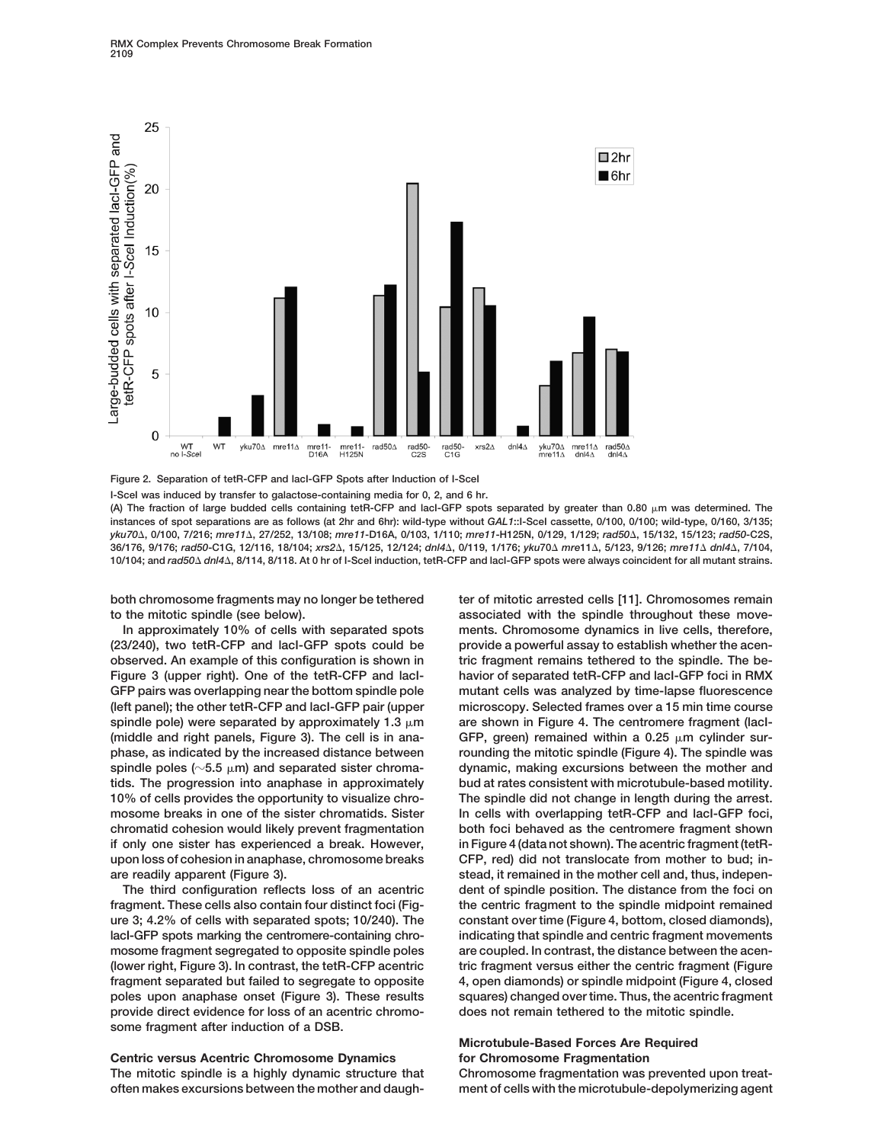

**Figure 2. Separation of tetR-CFP and lacI-GFP Spots after Induction of I-SceI**

**I-SceI was induced by transfer to galactose-containing media for 0, 2, and 6 hr. (A) The fraction of large budded cells containing tetR-CFP and lacI-GFP spots separated by greater than 0.80 m was determined. The instances of spot separations are as follows (at 2hr and 6hr): wild-type without** *GAL1***::I-SceI cassette, 0/100, 0/100; wild-type, 0/160, 3/135;** *yku70***, 0/100, 7/216;** *mre11***, 27/252, 13/108;** *mre11***-D16A, 0/103, 1/110;** *mre11***-H125N, 0/129, 1/129;** *rad50***, 15/132, 15/123;** *rad50***-C2S,** 36/176, 9/176; rad50-C1G, 12/116, 18/104; xrs2∆, 15/125, 12/124; dnl4∆, 0/119, 1/176; yku70∆ mre11∆, 5/123, 9/126; mre11∆ dnl4∆, 7/104, **10/104; and** *rad50 dnl4***, 8/114, 8/118. At 0 hr of I-SceI induction, tetR-CFP and lacI-GFP spots were always coincident for all mutant strains.**

both chromosome fragments may no longer be tethered ter of mitotic arrested cells [11]. Chromosomes remain **to the mitotic spindle (see below). associated with the spindle throughout these move-**

**(23/240), two tetR-CFP and lacI-GFP spots could be provide a powerful assay to establish whether the acenobserved. An example of this configuration is shown in tric fragment remains tethered to the spindle. The be-Figure 3 (upper right). One of the tetR-CFP and lacI- havior of separated tetR-CFP and lacI-GFP foci in RMX GFP pairs was overlapping near the bottom spindle pole mutant cells was analyzed by time-lapse fluorescence (left panel); the other tetR-CFP and lacI-GFP pair (upper microscopy. Selected frames over a 15 min time course** spindle pole) were separated by approximately 1.3  $\mu$ m are shown in Figure 4. The centromere fragment (lacI-(middle and right panels, Figure 3). The cell is in ana- GFP, green) remained within a 0.25  $\mu$ m cylinder sur**phase, as indicated by the increased distance between rounding the mitotic spindle (Figure 4). The spindle was spindle poles (5.5 m) and separated sister chroma- dynamic, making excursions between the mother and tids. The progression into anaphase in approximately bud at rates consistent with microtubule-based motility. 10% of cells provides the opportunity to visualize chro- The spindle did not change in length during the arrest. mosome breaks in one of the sister chromatids. Sister In cells with overlapping tetR-CFP and lacI-GFP foci, chromatid cohesion would likely prevent fragmentation both foci behaved as the centromere fragment shown if only one sister has experienced a break. However, in Figure 4 (data not shown). The acentric fragment (tetRupon loss of cohesion in anaphase, chromosome breaks CFP, red) did not translocate from mother to bud; inare readily apparent (Figure 3). stead, it remained in the mother cell and, thus, indepen-**

**ure 3; 4.2% of cells with separated spots; 10/240). The constant over time (Figure 4, bottom, closed diamonds), lacI-GFP spots marking the centromere-containing chro- indicating that spindle and centric fragment movements mosome fragment segregated to opposite spindle poles are coupled. In contrast, the distance between the acen provide direct evidence for loss of an acentric chromo- does not remain tethered to the mitotic spindle. some fragment after induction of a DSB.**

**Centric versus Acentric Chromosome Dynamics for Chromosome Fragmentation The mitotic spindle is a highly dynamic structure that Chromosome fragmentation was prevented upon treat-**

**In approximately 10% of cells with separated spots ments. Chromosome dynamics in live cells, therefore, The third configuration reflects loss of an acentric dent of spindle position. The distance from the foci on fragment. These cells also contain four distinct foci (Fig- the centric fragment to the spindle midpoint remained (lower right, Figure 3). In contrast, the tetR-CFP acentric tric fragment versus either the centric fragment (Figure fragment separated but failed to segregate to opposite 4, open diamonds) or spindle midpoint (Figure 4, closed poles upon anaphase onset (Figure 3). These results squares) changed over time. Thus, the acentric fragment**

### **Microtubule-Based Forces Are Required**

**often makes excursions between the mother and daugh- ment of cells with the microtubule-depolymerizing agent**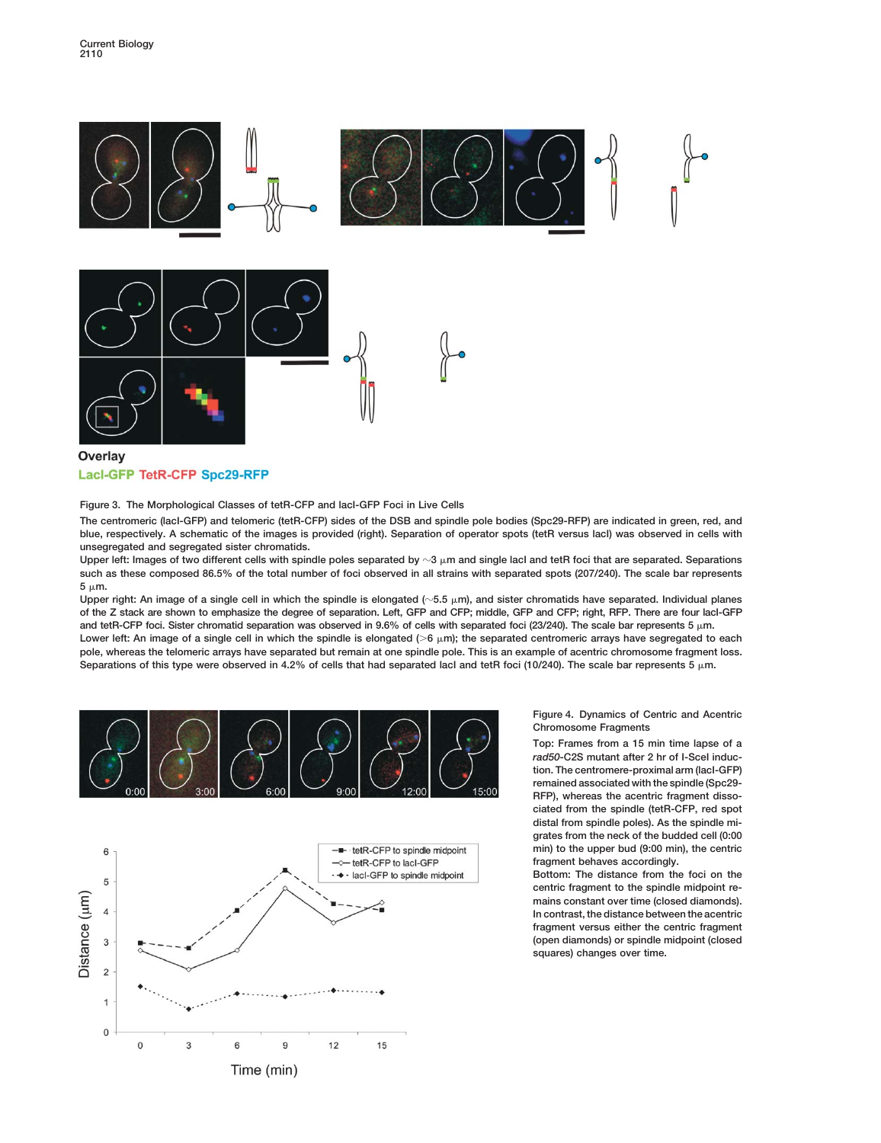

**Figure 3. The Morphological Classes of tetR-CFP and lacI-GFP Foci in Live Cells**

**The centromeric (lacI-GFP) and telomeric (tetR-CFP) sides of the DSB and spindle pole bodies (Spc29-RFP) are indicated in green, red, and blue, respectively. A schematic of the images is provided (right). Separation of operator spots (tetR versus lacI) was observed in cells with unsegregated and segregated sister chromatids.**

**Upper left: Images of two different cells with spindle poles separated by 3 m and single lacI and tetR foci that are separated. Separations such as these composed 86.5% of the total number of foci observed in all strains with separated spots (207/240). The scale bar represents 5 m.**

**Upper right: An image of a single cell in which the spindle is elongated (5.5 m), and sister chromatids have separated. Individual planes of the Z stack are shown to emphasize the degree of separation. Left, GFP and CFP; middle, GFP and CFP; right, RFP. There are four lacI-GFP and tetR-CFP foci. Sister chromatid separation was observed in 9.6% of cells with separated foci (23/240). The scale bar represents 5 m. Lower left: An image of a single cell in which the spindle is elongated (6 m); the separated centromeric arrays have segregated to each pole, whereas the telomeric arrays have separated but remain at one spindle pole. This is an example of acentric chromosome fragment loss.** Separations of this type were observed in 4.2% of cells that had separated lacI and tetR foci (10/240). The scale bar represents 5  $\mu$ m.





**Figure 4. Dynamics of Centric and Acentric Chromosome Fragments**

**Top: Frames from a 15 min time lapse of a** *rad50***-C2S mutant after 2 hr of I-SceI induction. The centromere-proximal arm (lacI-GFP) remained associated with the spindle (Spc29- RFP), whereas the acentric fragment dissociated from the spindle (tetR-CFP, red spot distal from spindle poles). As the spindle migrates from the neck of the budded cell (0:00 min) to the upper bud (9:00 min), the centric fragment behaves accordingly.**

**Bottom: The distance from the foci on the centric fragment to the spindle midpoint remains constant over time (closed diamonds). In contrast, the distance between the acentric fragment versus either the centric fragment (open diamonds) or spindle midpoint (closed squares) changes over time.**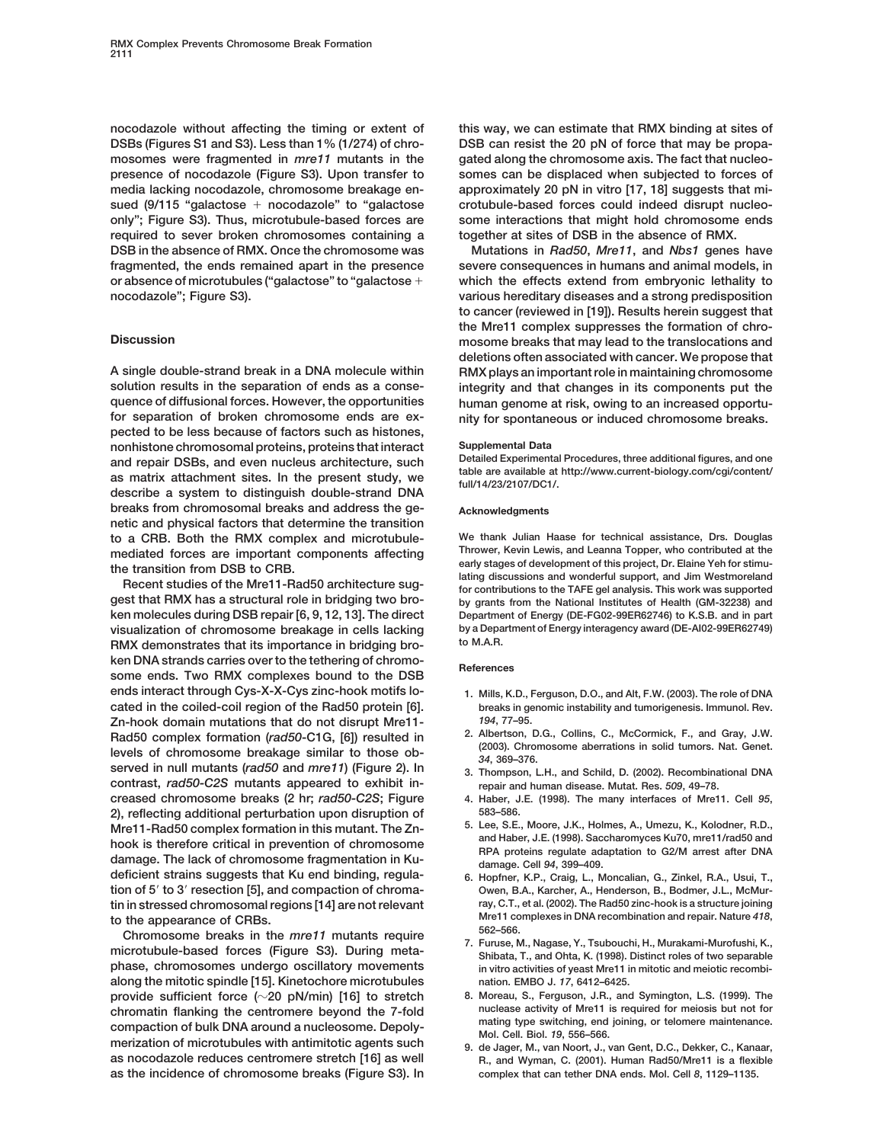**nocodazole without affecting the timing or extent of this way, we can estimate that RMX binding at sites of DSBs (Figures S1 and S3). Less than 1% (1/274) of chro- DSB can resist the 20 pN of force that may be propamosomes were fragmented in** *mre11* **mutants in the gated along the chromosome axis. The fact that nucleopresence of nocodazole (Figure S3). Upon transfer to somes can be displaced when subjected to forces of media lacking nocodazole, chromosome breakage en- approximately 20 pN in vitro [17, 18] suggests that misued (9/115 "galactose nocodazole" to "galactose crotubule-based forces could indeed disrupt nucleoonly"; Figure S3). Thus, microtubule-based forces are some interactions that might hold chromosome ends required to sever broken chromosomes containing a together at sites of DSB in the absence of RMX. DSB in the absence of RMX. Once the chromosome was Mutations in** *Rad50***,** *Mre11***, and** *Nbs1* **genes have fragmented, the ends remained apart in the presence severe consequences in humans and animal models, in or absence of microtubules ("galactose" to "galactose which the effects extend from embryonic lethality to nocodazole"; Figure S3). various hereditary diseases and a strong predisposition**

**solution results in the separation of ends as a conse- integrity and that changes in its components put the quence of diffusional forces. However, the opportunities human genome at risk, owing to an increased opportupected to be less because of factors such as histones, nonhistone chromosomal proteins, proteins that interact Supplemental Data** and repair DSBs, and even nucleus architecture, such<br>as matrix attachment sites. In the present study, we<br>describe a system to distinguish double-strand DNA<br>describe a system to distinguish double-strand DNA **breaks from chromosomal breaks and address the ge- Acknowledgments netic and physical factors that determine the transition to a CRB. Both the RMX complex and microtubule- We thank Julian Haase for technical assistance, Drs. Douglas mediated forces are important components affecting Thrower, Kevin Lewis, and Leanna Topper, who contributed at the**

**gest that RMX has a structural role in bridging two bro- by grants from the National Institutes of Health (GM-32238) and ken molecules during DSB repair [6, 9, 12, 13]. The direct Department of Energy (DE-FG02-99ER62746) to K.S.B. and in part visualization of chromosome breakage in cells lacking** by a Department of Chromosome breakage in bridging health of M.A.R. RMX demonstrates that its importance in bridging bro**ken DNA strands carries over to the tethering of chromo- References some ends. Two RMX complexes bound to the DSB ends interact through Cys-X-X-Cys zinc-hook motifs lo- 1. Mills, K.D., Ferguson, D.O., and Alt, F.W. (2003). The role of DNA cated in the coiled-coil region of the Rad50 protein [6]. breaks in genomic instability and tumorigenesis. Immunol. Rev. Zn-hook domain mutations that do not disrupt Mre11-** *194***, 77–95.** Rad50 complex formation (rad50-C1G, [6]) resulted in  $\frac{2. \text{ Albertson, D.G., Collins, C., McGormick, F., and Gray, J.W.}$ <br>levels of chromosome breakage similar to those ob-<br>served in null mutants (rad50 and mre11) (Figure 2). In  $\frac{34,369-376}{3.76.09}$ . C **contrast,** *rad50-C2S* **mutants appeared to exhibit in- repair and human disease. Mutat. Res.** *509***, 49–78. creased chromosome breaks (2 hr;** *rad50-C2S***; Figure 4. Haber, J.E. (1998). The many interfaces of Mre11. Cell** *95***, 2), reflecting additional perturbation upon disruption of 583–586. Mre11-Rad50 complex formation in this mutant. The Zn- 5. Lee, S.E., Moore, J.K., Holmes, A., Umezu, K., Kolodner, R.D.,** hook is therefore critical in prevention of chromosome<br>damage. The lack of chromosome fragmentation in Ku-<br>damage. Cell 94, 399-409. **deficient strains suggests that Ku end binding, regula- 6. Hopfner, K.P., Craig, L., Moncalian, G., Zinkel, R.A., Usui, T., tion of 5 to 3 resection [5], and compaction of chroma- Owen, B.A., Karcher, A., Henderson, B., Bodmer, J.L., McMurtin in stressed chromosomal regions [14] are not relevant ray, C.T., et al. (2002). The Rad50 zinc-hook is a structure joining**

to the appearance of CRBs.<br>
Chromosome breaks in the *mre11* mutants require<br>
Chromosome breaks in the *mre11* mutants require<br>
<sup>562–566</sup>.<br>
7. Furuse, M., Nagase, Y., Tsubouchi, H., Murakami-Murofushi, K.,<br>
Shibata, T., an **phase, chromosomes undergo oscillatory movements in vitro activities of yeast Mre11 in mitotic and meiotic recombialong the mitotic spindle [15]. Kinetochore microtubules nation. EMBO J.** *17***, 6412–6425. provide sufficient force (20 pN/min) [16] to stretch 8. Moreau, S., Ferguson, J.R., and Symington, L.S. (1999). The** chromatin flanking the centromere beyond the 7-fold<br>compaction of bulk DNA around a nucleosome. Depoly-<br>mating type switching, end joining, or telomere maintenance.<br>Mol. Cell. Biol. 19, 556–566.<br>g. de Jager, M., van Noort, **as nocodazole reduces centromere stretch [16] as well R., and Wyman, C. (2001). Human Rad50/Mre11 is a flexible as the incidence of chromosome breaks (Figure S3). In complex that can tether DNA ends. Mol. Cell** *8***, 1129–1135.**

**to cancer (reviewed in [19]). Results herein suggest that the Mre11 complex suppresses the formation of chro-Discussion mosome breaks that may lead to the translocations and deletions often associated with cancer. We propose that A single double-strand break in a DNA molecule within RMX plays an important role in maintaining chromosome** hity for spontaneous or induced chromosome breaks.

the transition from DSB to CRB.<br>Recent studies of the Mre11-Rad50 architecture sug-<br>Recent studies of the Mre11-Rad50 architecture sug-<br>for contributions to the TAFE gel analysis. This work was supported

- 
- 
- 
- 
- 
- 
- 
- 
-